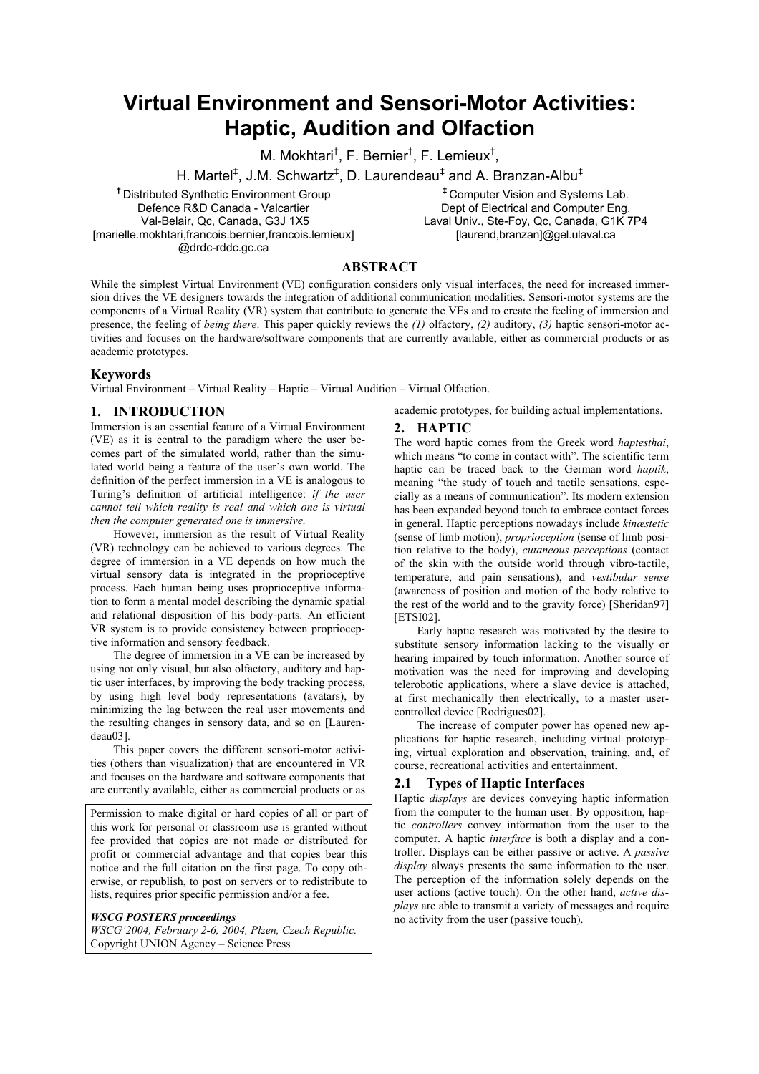# **Virtual Environment and Sensori-Motor Activities: Haptic, Audition and Olfaction**

M. Mokhtari<sup>†</sup>, F. Bernier<sup>†</sup>, F. Lemieux<sup>†</sup>,

H. Martel<sup>‡</sup>, J.M. Schwartz<sup>‡</sup>, D. Laurendeau<sup>‡</sup> and A. Branzan-Albu<sup>‡</sup>

**†** Distributed Synthetic Environment Group Defence R&D Canada - Valcartier Val-Belair, Qc, Canada, G3J 1X5 [marielle.mokhtari,francois.bernier,francois.lemieux] @drdc-rddc.gc.ca

**‡** Computer Vision and Systems Lab. Dept of Electrical and Computer Eng. Laval Univ., Ste-Foy, Qc, Canada, G1K 7P4 [laurend,branzan]@gel.ulaval.ca

### **ABSTRACT**

While the simplest Virtual Environment (VE) configuration considers only visual interfaces, the need for increased immersion drives the VE designers towards the integration of additional communication modalities. Sensori-motor systems are the components of a Virtual Reality (VR) system that contribute to generate the VEs and to create the feeling of immersion and presence, the feeling of *being there*. This paper quickly reviews the *(1)* olfactory, *(2)* auditory, *(3)* haptic sensori-motor activities and focuses on the hardware/software components that are currently available, either as commercial products or as academic prototypes.

#### **Keywords**

Virtual Environment – Virtual Reality – Haptic – Virtual Audition – Virtual Olfaction.

# **1. INTRODUCTION**

Immersion is an essential feature of a Virtual Environment (VE) as it is central to the paradigm where the user becomes part of the simulated world, rather than the simulated world being a feature of the user's own world. The definition of the perfect immersion in a VE is analogous to Turing's definition of artificial intelligence: *if the user cannot tell which reality is real and which one is virtual then the computer generated one is immersive*.

However, immersion as the result of Virtual Reality (VR) technology can be achieved to various degrees. The degree of immersion in a VE depends on how much the virtual sensory data is integrated in the proprioceptive process. Each human being uses proprioceptive information to form a mental model describing the dynamic spatial and relational disposition of his body-parts. An efficient VR system is to provide consistency between proprioceptive information and sensory feedback.

The degree of immersion in a VE can be increased by using not only visual, but also olfactory, auditory and haptic user interfaces, by improving the body tracking process, by using high level body representations (avatars), by minimizing the lag between the real user movements and the resulting changes in sensory data, and so on [Laurendeau03].

This paper covers the different sensori-motor activities (others than visualization) that are encountered in VR and focuses on the hardware and software components that are currently available, either as commercial products or as

Permission to make digital or hard copies of all or part of this work for personal or classroom use is granted without fee provided that copies are not made or distributed for profit or commercial advantage and that copies bear this notice and the full citation on the first page. To copy otherwise, or republish, to post on servers or to redistribute to lists, requires prior specific permission and/or a fee.

#### *WSCG POSTERS proceedings*

*WSCG'2004, February 2-6, 2004, Plzen, Czech Republic.*  Copyright UNION Agency – Science Press

academic prototypes, for building actual implementations.

#### **2. HAPTIC**

The word haptic comes from the Greek word *haptesthai*, which means "to come in contact with". The scientific term haptic can be traced back to the German word *haptik*, meaning "the study of touch and tactile sensations, especially as a means of communication". Its modern extension has been expanded beyond touch to embrace contact forces in general. Haptic perceptions nowadays include *kinæstetic* (sense of limb motion), *proprioception* (sense of limb position relative to the body), *cutaneous perceptions* (contact of the skin with the outside world through vibro-tactile, temperature, and pain sensations), and *vestibular sense* (awareness of position and motion of the body relative to the rest of the world and to the gravity force) [Sheridan97] [ETSI02].

Early haptic research was motivated by the desire to substitute sensory information lacking to the visually or hearing impaired by touch information. Another source of motivation was the need for improving and developing telerobotic applications, where a slave device is attached, at first mechanically then electrically, to a master usercontrolled device [Rodrigues02].

The increase of computer power has opened new applications for haptic research, including virtual prototyping, virtual exploration and observation, training, and, of course, recreational activities and entertainment.

#### **2.1 Types of Haptic Interfaces**

Haptic *displays* are devices conveying haptic information from the computer to the human user. By opposition, haptic *controllers* convey information from the user to the computer. A haptic *interface* is both a display and a controller. Displays can be either passive or active. A *passive display* always presents the same information to the user. The perception of the information solely depends on the user actions (active touch). On the other hand, *active displays* are able to transmit a variety of messages and require no activity from the user (passive touch).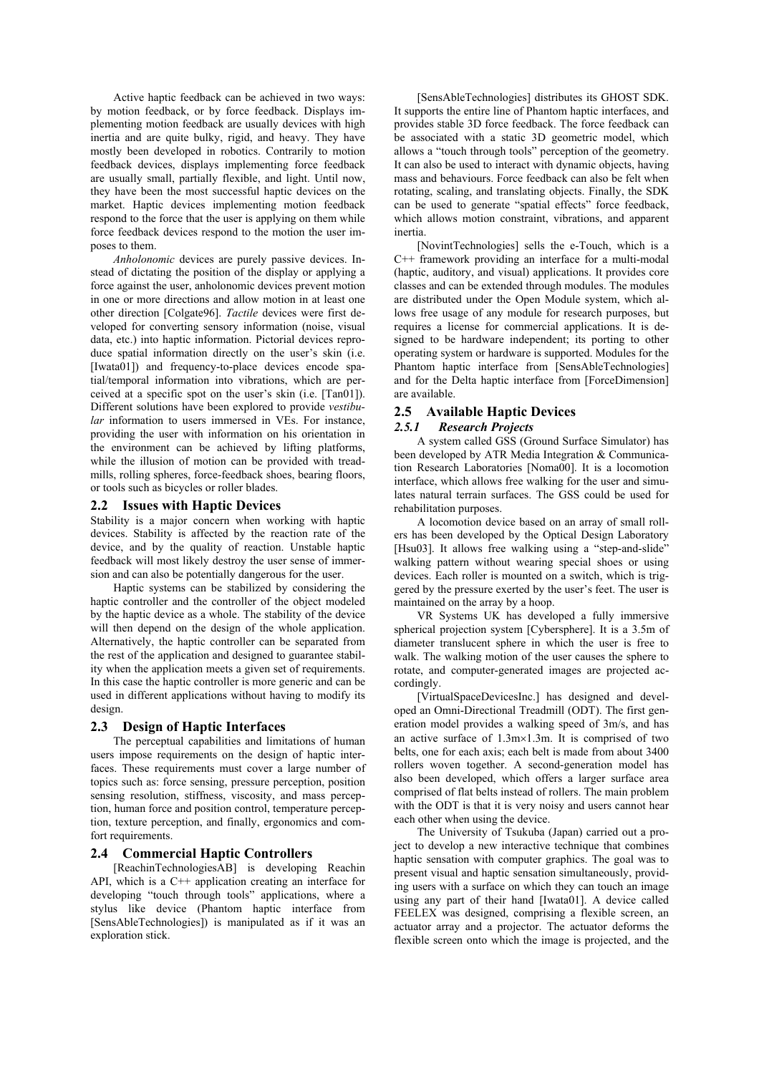Active haptic feedback can be achieved in two ways: by motion feedback, or by force feedback. Displays implementing motion feedback are usually devices with high inertia and are quite bulky, rigid, and heavy. They have mostly been developed in robotics. Contrarily to motion feedback devices, displays implementing force feedback are usually small, partially flexible, and light. Until now, they have been the most successful haptic devices on the market. Haptic devices implementing motion feedback respond to the force that the user is applying on them while force feedback devices respond to the motion the user imposes to them.

*Anholonomic* devices are purely passive devices. Instead of dictating the position of the display or applying a force against the user, anholonomic devices prevent motion in one or more directions and allow motion in at least one other direction [Colgate96]. *Tactile* devices were first developed for converting sensory information (noise, visual data, etc.) into haptic information. Pictorial devices reproduce spatial information directly on the user's skin (i.e.  $[Iwata01]$  and frequency-to-place devices encode spatial/temporal information into vibrations, which are perceived at a specific spot on the user's skin (i.e. [Tan01]). Different solutions have been explored to provide *vestibular* information to users immersed in VEs. For instance, providing the user with information on his orientation in the environment can be achieved by lifting platforms, while the illusion of motion can be provided with treadmills, rolling spheres, force-feedback shoes, bearing floors, or tools such as bicycles or roller blades.

#### **2.2 Issues with Haptic Devices**

Stability is a major concern when working with haptic devices. Stability is affected by the reaction rate of the device, and by the quality of reaction. Unstable haptic feedback will most likely destroy the user sense of immersion and can also be potentially dangerous for the user.

Haptic systems can be stabilized by considering the haptic controller and the controller of the object modeled by the haptic device as a whole. The stability of the device will then depend on the design of the whole application. Alternatively, the haptic controller can be separated from the rest of the application and designed to guarantee stability when the application meets a given set of requirements. In this case the haptic controller is more generic and can be used in different applications without having to modify its design.

#### **2.3 Design of Haptic Interfaces**

The perceptual capabilities and limitations of human users impose requirements on the design of haptic interfaces. These requirements must cover a large number of topics such as: force sensing, pressure perception, position sensing resolution, stiffness, viscosity, and mass perception, human force and position control, temperature perception, texture perception, and finally, ergonomics and comfort requirements.

#### **2.4 Commercial Haptic Controllers**

[ReachinTechnologiesAB] is developing Reachin API, which is a C++ application creating an interface for developing "touch through tools" applications, where a stylus like device (Phantom haptic interface from [SensAbleTechnologies]) is manipulated as if it was an exploration stick.

[SensAbleTechnologies] distributes its GHOST SDK. It supports the entire line of Phantom haptic interfaces, and provides stable 3D force feedback. The force feedback can be associated with a static 3D geometric model, which allows a "touch through tools" perception of the geometry. It can also be used to interact with dynamic objects, having mass and behaviours. Force feedback can also be felt when rotating, scaling, and translating objects. Finally, the SDK can be used to generate "spatial effects" force feedback, which allows motion constraint, vibrations, and apparent inertia.

[NovintTechnologies] sells the e-Touch, which is a C++ framework providing an interface for a multi-modal (haptic, auditory, and visual) applications. It provides core classes and can be extended through modules. The modules are distributed under the Open Module system, which allows free usage of any module for research purposes, but requires a license for commercial applications. It is designed to be hardware independent; its porting to other operating system or hardware is supported. Modules for the Phantom haptic interface from [SensAbleTechnologies] and for the Delta haptic interface from [ForceDimension] are available.

# **2.5 Available Haptic Devices**

# *2.5.1 Research Projects*

A system called GSS (Ground Surface Simulator) has been developed by ATR Media Integration & Communication Research Laboratories [Noma00]. It is a locomotion interface, which allows free walking for the user and simulates natural terrain surfaces. The GSS could be used for rehabilitation purposes.

A locomotion device based on an array of small rollers has been developed by the Optical Design Laboratory [Hsu03]. It allows free walking using a "step-and-slide" walking pattern without wearing special shoes or using devices. Each roller is mounted on a switch, which is triggered by the pressure exerted by the user's feet. The user is maintained on the array by a hoop.

VR Systems UK has developed a fully immersive spherical projection system [Cybersphere]. It is a 3.5m of diameter translucent sphere in which the user is free to walk. The walking motion of the user causes the sphere to rotate, and computer-generated images are projected accordingly.

[VirtualSpaceDevicesInc.] has designed and developed an Omni-Directional Treadmill (ODT). The first generation model provides a walking speed of 3m/s, and has an active surface of 1.3m×1.3m. It is comprised of two belts, one for each axis; each belt is made from about 3400 rollers woven together. A second-generation model has also been developed, which offers a larger surface area comprised of flat belts instead of rollers. The main problem with the ODT is that it is very noisy and users cannot hear each other when using the device.

The University of Tsukuba (Japan) carried out a project to develop a new interactive technique that combines haptic sensation with computer graphics. The goal was to present visual and haptic sensation simultaneously, providing users with a surface on which they can touch an image using any part of their hand [Iwata01]. A device called FEELEX was designed, comprising a flexible screen, an actuator array and a projector. The actuator deforms the flexible screen onto which the image is projected, and the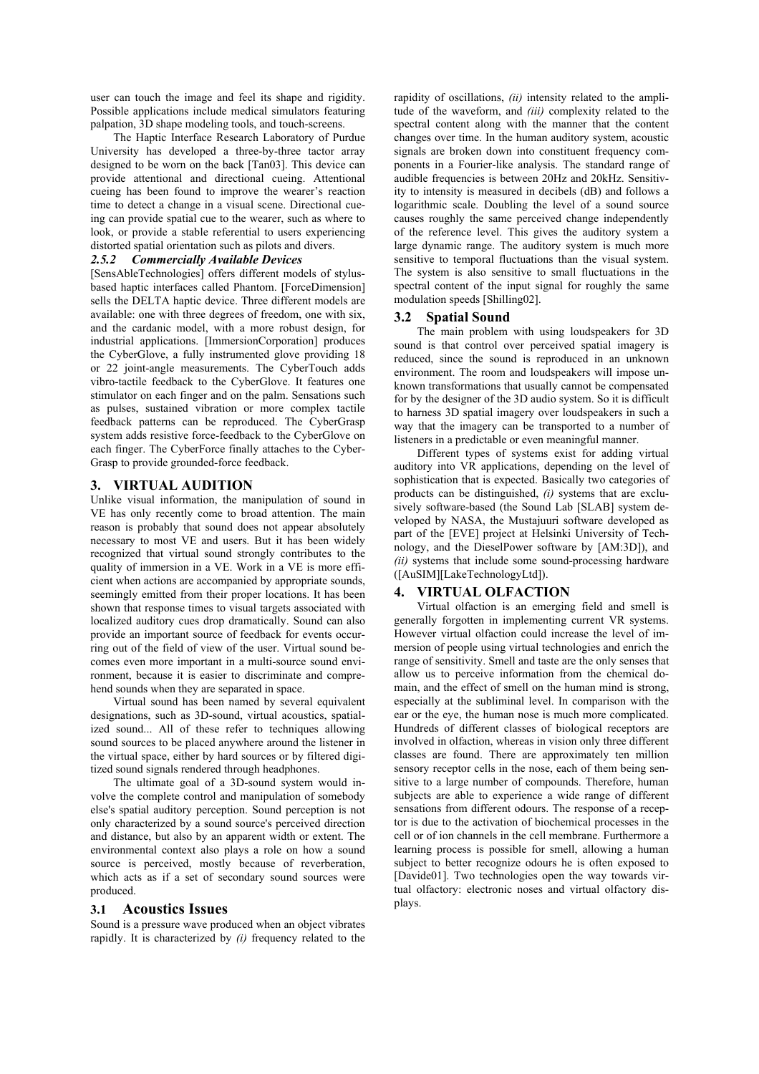user can touch the image and feel its shape and rigidity. Possible applications include medical simulators featuring palpation, 3D shape modeling tools, and touch-screens.

The Haptic Interface Research Laboratory of Purdue University has developed a three-by-three tactor array designed to be worn on the back [Tan03]. This device can provide attentional and directional cueing. Attentional cueing has been found to improve the wearer's reaction time to detect a change in a visual scene. Directional cueing can provide spatial cue to the wearer, such as where to look, or provide a stable referential to users experiencing distorted spatial orientation such as pilots and divers.

#### *2.5.2 Commercially Available Devices*

[SensAbleTechnologies] offers different models of stylusbased haptic interfaces called Phantom. [ForceDimension] sells the DELTA haptic device. Three different models are available: one with three degrees of freedom, one with six, and the cardanic model, with a more robust design, for industrial applications. [ImmersionCorporation] produces the CyberGlove, a fully instrumented glove providing 18 or 22 joint-angle measurements. The CyberTouch adds vibro-tactile feedback to the CyberGlove. It features one stimulator on each finger and on the palm. Sensations such as pulses, sustained vibration or more complex tactile feedback patterns can be reproduced. The CyberGrasp system adds resistive force-feedback to the CyberGlove on each finger. The CyberForce finally attaches to the Cyber-Grasp to provide grounded-force feedback.

#### **3. VIRTUAL AUDITION**

Unlike visual information, the manipulation of sound in VE has only recently come to broad attention. The main reason is probably that sound does not appear absolutely necessary to most VE and users. But it has been widely recognized that virtual sound strongly contributes to the quality of immersion in a VE. Work in a VE is more efficient when actions are accompanied by appropriate sounds, seemingly emitted from their proper locations. It has been shown that response times to visual targets associated with localized auditory cues drop dramatically. Sound can also provide an important source of feedback for events occurring out of the field of view of the user. Virtual sound becomes even more important in a multi-source sound environment, because it is easier to discriminate and comprehend sounds when they are separated in space.

Virtual sound has been named by several equivalent designations, such as 3D-sound, virtual acoustics, spatialized sound... All of these refer to techniques allowing sound sources to be placed anywhere around the listener in the virtual space, either by hard sources or by filtered digitized sound signals rendered through headphones.

The ultimate goal of a 3D-sound system would involve the complete control and manipulation of somebody else's spatial auditory perception. Sound perception is not only characterized by a sound source's perceived direction and distance, but also by an apparent width or extent. The environmental context also plays a role on how a sound source is perceived, mostly because of reverberation, which acts as if a set of secondary sound sources were produced.

#### **3.1 Acoustics Issues**

Sound is a pressure wave produced when an object vibrates rapidly. It is characterized by *(i)* frequency related to the rapidity of oscillations, *(ii)* intensity related to the amplitude of the waveform, and *(iii)* complexity related to the spectral content along with the manner that the content changes over time. In the human auditory system, acoustic signals are broken down into constituent frequency components in a Fourier-like analysis. The standard range of audible frequencies is between 20Hz and 20kHz. Sensitivity to intensity is measured in decibels (dB) and follows a logarithmic scale. Doubling the level of a sound source causes roughly the same perceived change independently of the reference level. This gives the auditory system a large dynamic range. The auditory system is much more sensitive to temporal fluctuations than the visual system. The system is also sensitive to small fluctuations in the spectral content of the input signal for roughly the same modulation speeds [Shilling02].

#### **3.2 Spatial Sound**

The main problem with using loudspeakers for 3D sound is that control over perceived spatial imagery is reduced, since the sound is reproduced in an unknown environment. The room and loudspeakers will impose unknown transformations that usually cannot be compensated for by the designer of the 3D audio system. So it is difficult to harness 3D spatial imagery over loudspeakers in such a way that the imagery can be transported to a number of listeners in a predictable or even meaningful manner.

Different types of systems exist for adding virtual auditory into VR applications, depending on the level of sophistication that is expected. Basically two categories of products can be distinguished, *(i)* systems that are exclusively software-based (the Sound Lab [SLAB] system developed by NASA, the Mustajuuri software developed as part of the [EVE] project at Helsinki University of Technology, and the DieselPower software by [AM:3D]), and *(ii)* systems that include some sound-processing hardware ([AuSIM][LakeTechnologyLtd]).

#### **4. VIRTUAL OLFACTION**

Virtual olfaction is an emerging field and smell is generally forgotten in implementing current VR systems. However virtual olfaction could increase the level of immersion of people using virtual technologies and enrich the range of sensitivity. Smell and taste are the only senses that allow us to perceive information from the chemical domain, and the effect of smell on the human mind is strong, especially at the subliminal level. In comparison with the ear or the eye, the human nose is much more complicated. Hundreds of different classes of biological receptors are involved in olfaction, whereas in vision only three different classes are found. There are approximately ten million sensory receptor cells in the nose, each of them being sensitive to a large number of compounds. Therefore, human subjects are able to experience a wide range of different sensations from different odours. The response of a receptor is due to the activation of biochemical processes in the cell or of ion channels in the cell membrane. Furthermore a learning process is possible for smell, allowing a human subject to better recognize odours he is often exposed to [Davide01]. Two technologies open the way towards virtual olfactory: electronic noses and virtual olfactory displays.